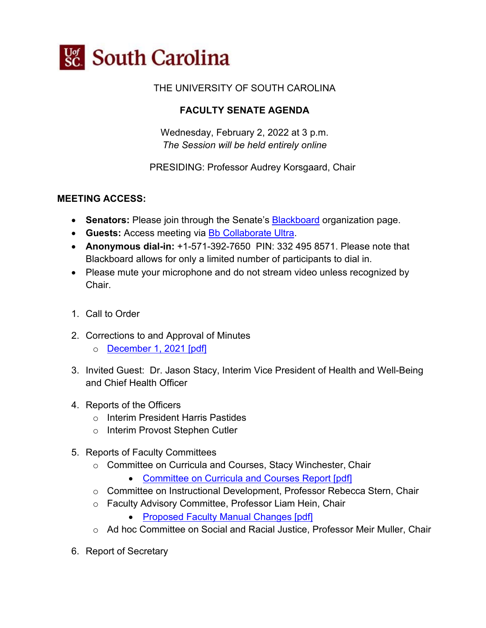

#### THE UNIVERSITY OF SOUTH CAROLINA

#### **FACULTY SENATE AGENDA**

Wednesday, February 2, 2022 at 3 p.m. *The Session will be held entirely online*

PRESIDING: Professor Audrey Korsgaard, Chair

#### **MEETING ACCESS:**

- **Senators:** Please join through the Senate's **Blackboard** organization page.
- **Guests:** Access meeting via [Bb Collaborate Ultra.](https://us.bbcollab.com/guest/ec781bdf9cf24fc98c606bdeeeea4d1f)
- **Anonymous dial-in:** +1-571-392-7650 PIN: 332 495 8571. Please note that Blackboard allows for only a limited number of participants to dial in.
- Please mute your microphone and do not stream video unless recognized by Chair.
- 1. Call to Order
- 2. Corrections to and Approval of Minutes
	- o [December 1, 2021 \[pdf\]](https://www.sc.edu/about/offices_and_divisions/faculty_senate/faculty-toolbox/documents/facsen_meetings/2022_2_2_fs_meeting/2021_12_01_faculty_senate_minutes.pdf)
- 3. Invited Guest: Dr. Jason Stacy, Interim Vice President of Health and Well-Being and Chief Health Officer
- 4. Reports of the Officers
	- o Interim President Harris Pastides
	- o Interim Provost Stephen Cutler
- 5. Reports of Faculty Committees
	- o Committee on Curricula and Courses, Stacy Winchester, Chair
		- [Committee on Curricula and Courses Report \[pdf\]](https://www.sc.edu/about/offices_and_divisions/faculty_senate/faculty-toolbox/documents/facsen_meetings/2022_2_2_fs_meeting/2021_02_02_cc_report.pdf)
	- o Committee on Instructional Development, Professor Rebecca Stern, Chair
	- o Faculty Advisory Committee, Professor Liam Hein, Chair
		- [Proposed Faculty Manual Changes](https://www.sc.edu/about/offices_and_divisions/faculty_senate/faculty-toolbox/documents/facsen_meetings/2022_2_2_fs_meeting/proposed_faculty_manual_changes.pdf) [pdf]
	- o Ad hoc Committee on Social and Racial Justice, Professor Meir Muller, Chair
- 6. Report of Secretary